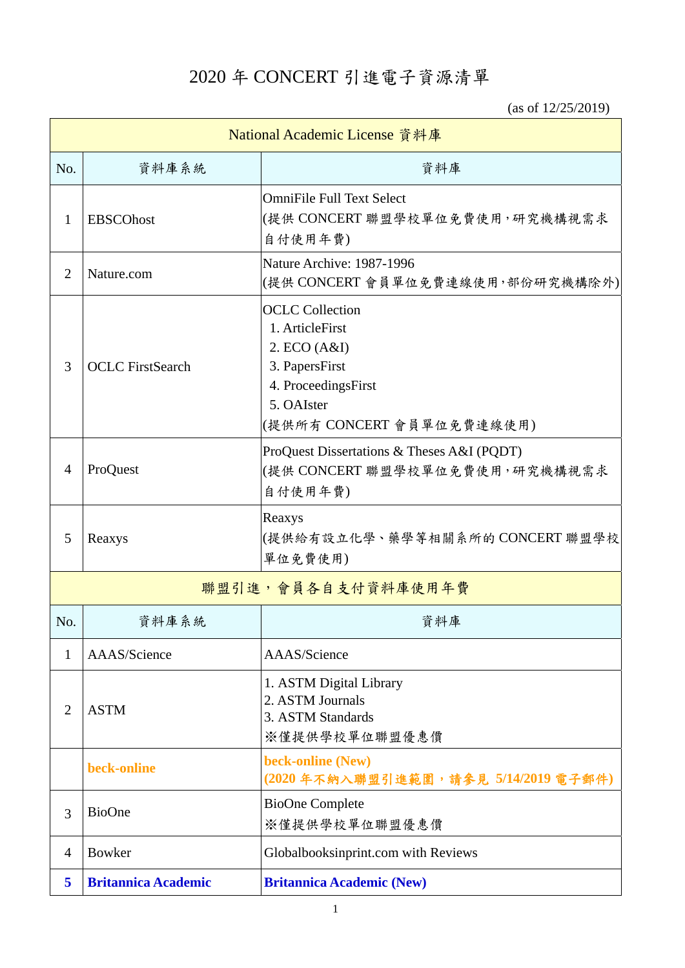2020 年 CONCERT 引進電子資源清單

(as of 12/25/2019)

| National Academic License 資料庫 |                            |                                                                                                                                               |  |  |
|-------------------------------|----------------------------|-----------------------------------------------------------------------------------------------------------------------------------------------|--|--|
| No.                           | 資料庫系統                      | 資料庫                                                                                                                                           |  |  |
| 1                             | <b>EBSCOhost</b>           | <b>OmniFile Full Text Select</b><br>(提供 CONCERT 聯盟學校單位免費使用,研究機構視需求<br>自付使用年費)                                                                 |  |  |
| $\overline{2}$                | Nature.com                 | Nature Archive: 1987-1996<br>(提供 CONCERT 會員單位免費連線使用,部份研究機構除外)                                                                                 |  |  |
| 3                             | <b>OCLC</b> FirstSearch    | <b>OCLC</b> Collection<br>1. ArticleFirst<br>2. ECO (A&I)<br>3. PapersFirst<br>4. ProceedingsFirst<br>5. OAIster<br>(提供所有 CONCERT 會員單位免費連線使用) |  |  |
| $\overline{4}$                | ProQuest                   | ProQuest Dissertations & Theses A&I (PQDT)<br>(提供 CONCERT 聯盟學校單位免費使用, 研究機構視需求<br>自付使用年費)                                                      |  |  |
| 5                             | Reaxys                     | Reaxys<br>(提供給有設立化學、藥學等相關系所的 CONCERT 聯盟學校<br>單位免費使用)                                                                                          |  |  |
|                               |                            | 聯盟引進,會員各自支付資料庫使用年費                                                                                                                            |  |  |
| No.                           | 資料庫系統                      | 資料庫                                                                                                                                           |  |  |
| 1                             | AAAS/Science               | AAAS/Science                                                                                                                                  |  |  |
| $\overline{2}$                | <b>ASTM</b>                | 1. ASTM Digital Library<br>2. ASTM Journals<br>3. ASTM Standards<br>※僅提供學校單位聯盟優惠價                                                             |  |  |
|                               | beck-online                | beck-online (New)<br>(2020年不納入聯盟引進範圍,請參見 5/14/2019 電子郵件)                                                                                      |  |  |
| 3                             | <b>BioOne</b>              | <b>BioOne Complete</b><br>※僅提供學校單位聯盟優惠價                                                                                                       |  |  |
| 4                             | <b>Bowker</b>              | Globalbooksinprint.com with Reviews                                                                                                           |  |  |
| 5                             | <b>Britannica Academic</b> | <b>Britannica Academic (New)</b>                                                                                                              |  |  |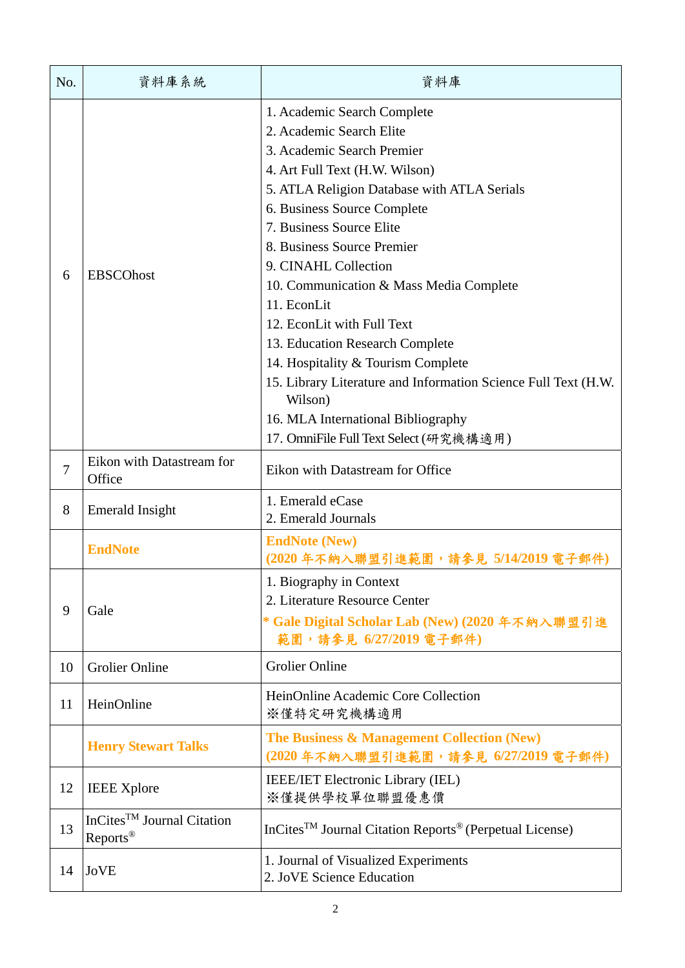| No.            | 資料庫系統                                                          | 資料庫                                                                                                                                                                                                                                                                                                                                                                                                                                                                                                                                                                                                                   |
|----------------|----------------------------------------------------------------|-----------------------------------------------------------------------------------------------------------------------------------------------------------------------------------------------------------------------------------------------------------------------------------------------------------------------------------------------------------------------------------------------------------------------------------------------------------------------------------------------------------------------------------------------------------------------------------------------------------------------|
| 6              | <b>EBSCOhost</b>                                               | 1. Academic Search Complete<br>2. Academic Search Elite<br>3. Academic Search Premier<br>4. Art Full Text (H.W. Wilson)<br>5. ATLA Religion Database with ATLA Serials<br>6. Business Source Complete<br>7. Business Source Elite<br>8. Business Source Premier<br>9. CINAHL Collection<br>10. Communication & Mass Media Complete<br>11. EconLit<br>12. EconLit with Full Text<br>13. Education Research Complete<br>14. Hospitality & Tourism Complete<br>15. Library Literature and Information Science Full Text (H.W.<br>Wilson)<br>16. MLA International Bibliography<br>17. OmniFile Full Text Select (研究機構適用) |
| $\overline{7}$ | Eikon with Datastream for<br>Office                            | Eikon with Datastream for Office                                                                                                                                                                                                                                                                                                                                                                                                                                                                                                                                                                                      |
| 8              | <b>Emerald Insight</b>                                         | 1. Emerald eCase<br>2. Emerald Journals                                                                                                                                                                                                                                                                                                                                                                                                                                                                                                                                                                               |
|                | <b>EndNote</b>                                                 | <b>EndNote (New)</b><br>(2020年不納入聯盟引進範圍,請參見 5/14/2019 電子                                                                                                                                                                                                                                                                                                                                                                                                                                                                                                                                                              |
| 9              | Gale                                                           | 1. Biography in Context<br>2. Literature Resource Center<br>* Gale Digital Scholar Lab (New) (2020年不納入聯盟引進<br>範圍,請參見 6/27/2019 電子郵件)                                                                                                                                                                                                                                                                                                                                                                                                                                                                                  |
| 10             | <b>Grolier Online</b>                                          | <b>Grolier Online</b>                                                                                                                                                                                                                                                                                                                                                                                                                                                                                                                                                                                                 |
| 11             | HeinOnline                                                     | HeinOnline Academic Core Collection<br>※僅特定研究機構適用                                                                                                                                                                                                                                                                                                                                                                                                                                                                                                                                                                     |
|                | <b>Henry Stewart Talks</b>                                     | The Business & Management Collection (New)<br>(2020年不納入聯盟引進範圍,請參見 6/27/2019電子郵件)                                                                                                                                                                                                                                                                                                                                                                                                                                                                                                                                      |
| 12             | <b>IEEE</b> Xplore                                             | <b>IEEE/IET Electronic Library (IEL)</b><br>※僅提供學校單位聯盟優惠價                                                                                                                                                                                                                                                                                                                                                                                                                                                                                                                                                             |
| 13             | InCites <sup>TM</sup> Journal Citation<br>Reports <sup>®</sup> | InCites <sup>TM</sup> Journal Citation Reports <sup>®</sup> (Perpetual License)                                                                                                                                                                                                                                                                                                                                                                                                                                                                                                                                       |
| 14             | <b>JoVE</b>                                                    | 1. Journal of Visualized Experiments<br>2. JoVE Science Education                                                                                                                                                                                                                                                                                                                                                                                                                                                                                                                                                     |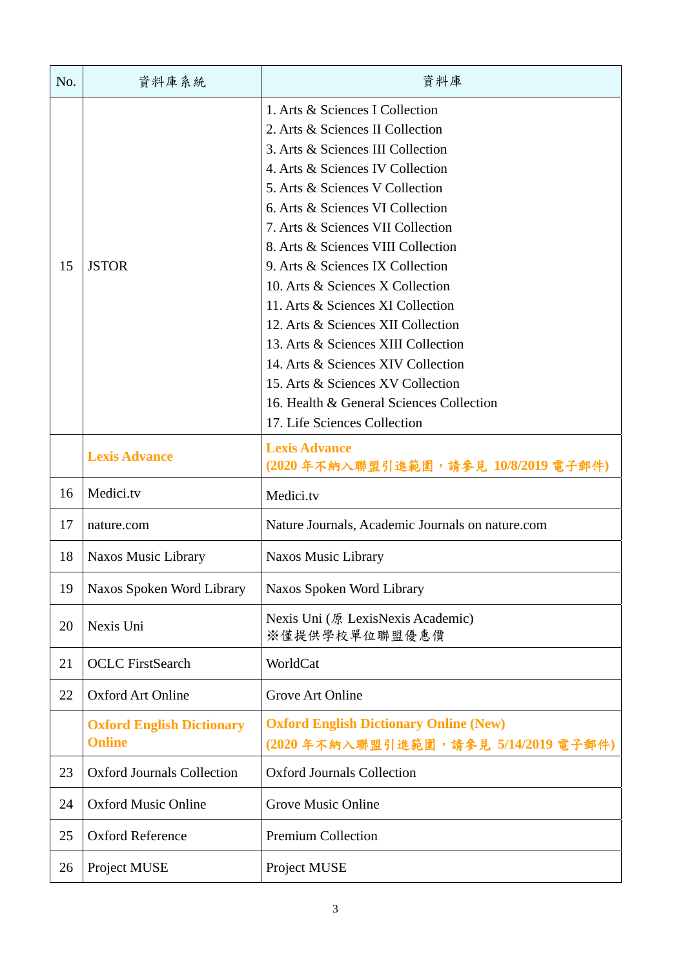| No. | 資料庫系統                                             | 資料庫                                                                                                                                                                                                                                                                                                                                                                                                                                                                                                                                                                                                                                             |
|-----|---------------------------------------------------|-------------------------------------------------------------------------------------------------------------------------------------------------------------------------------------------------------------------------------------------------------------------------------------------------------------------------------------------------------------------------------------------------------------------------------------------------------------------------------------------------------------------------------------------------------------------------------------------------------------------------------------------------|
| 15  | <b>JSTOR</b>                                      | 1. Arts & Sciences I Collection<br>2. Arts & Sciences II Collection<br>3. Arts & Sciences III Collection<br>4. Arts & Sciences IV Collection<br>5. Arts & Sciences V Collection<br>6. Arts & Sciences VI Collection<br>7. Arts & Sciences VII Collection<br>8. Arts & Sciences VIII Collection<br>9. Arts & Sciences IX Collection<br>10. Arts & Sciences X Collection<br>11. Arts & Sciences XI Collection<br>12. Arts & Sciences XII Collection<br>13. Arts & Sciences XIII Collection<br>14. Arts & Sciences XIV Collection<br>15. Arts & Sciences XV Collection<br>16. Health & General Sciences Collection<br>17. Life Sciences Collection |
|     | <b>Lexis Advance</b>                              | <b>Lexis Advance</b><br>(2020年不納入聯盟引進範圍,請參見 10/8/2019 電子郵件)                                                                                                                                                                                                                                                                                                                                                                                                                                                                                                                                                                                     |
| 16  | Medici.tv                                         | Medici.tv                                                                                                                                                                                                                                                                                                                                                                                                                                                                                                                                                                                                                                       |
| 17  | nature.com                                        | Nature Journals, Academic Journals on nature.com                                                                                                                                                                                                                                                                                                                                                                                                                                                                                                                                                                                                |
| 18  | Naxos Music Library                               | <b>Naxos Music Library</b>                                                                                                                                                                                                                                                                                                                                                                                                                                                                                                                                                                                                                      |
| 19  | Naxos Spoken Word Library                         | Naxos Spoken Word Library                                                                                                                                                                                                                                                                                                                                                                                                                                                                                                                                                                                                                       |
| 20  | Nexis Uni                                         | Nexis Uni (原 LexisNexis Academic)<br>※僅提供學校單位聯盟優惠價                                                                                                                                                                                                                                                                                                                                                                                                                                                                                                                                                                                              |
| 21  | <b>OCLC</b> FirstSearch                           | WorldCat                                                                                                                                                                                                                                                                                                                                                                                                                                                                                                                                                                                                                                        |
| 22  | <b>Oxford Art Online</b>                          | Grove Art Online                                                                                                                                                                                                                                                                                                                                                                                                                                                                                                                                                                                                                                |
|     | <b>Oxford English Dictionary</b><br><b>Online</b> | <b>Oxford English Dictionary Online (New)</b><br>(2020年不納入聯盟引進範圍,請參見 5/14/2019 電子郵件)                                                                                                                                                                                                                                                                                                                                                                                                                                                                                                                                                            |
| 23  | <b>Oxford Journals Collection</b>                 | <b>Oxford Journals Collection</b>                                                                                                                                                                                                                                                                                                                                                                                                                                                                                                                                                                                                               |
| 24  | <b>Oxford Music Online</b>                        | Grove Music Online                                                                                                                                                                                                                                                                                                                                                                                                                                                                                                                                                                                                                              |
| 25  | <b>Oxford Reference</b>                           | <b>Premium Collection</b>                                                                                                                                                                                                                                                                                                                                                                                                                                                                                                                                                                                                                       |
| 26  | Project MUSE                                      | Project MUSE                                                                                                                                                                                                                                                                                                                                                                                                                                                                                                                                                                                                                                    |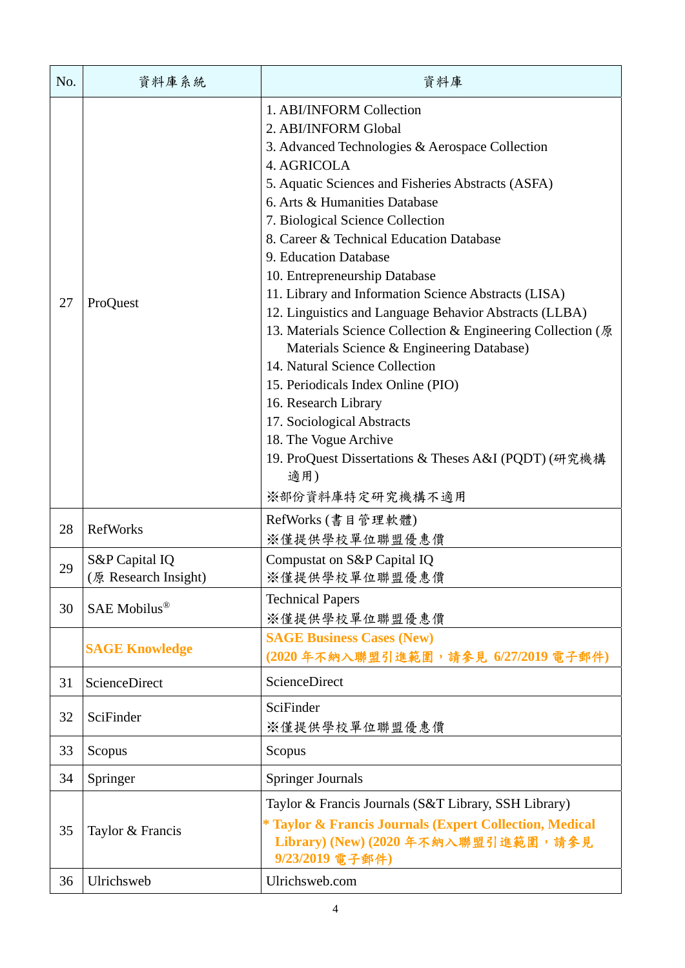| No.      | 資料庫系統                                            | 資料庫                                                                                                                                                                                                                                                                                                                                                                                                                                                                                                                                                                                                                                                                                                                                                                                                                         |
|----------|--------------------------------------------------|-----------------------------------------------------------------------------------------------------------------------------------------------------------------------------------------------------------------------------------------------------------------------------------------------------------------------------------------------------------------------------------------------------------------------------------------------------------------------------------------------------------------------------------------------------------------------------------------------------------------------------------------------------------------------------------------------------------------------------------------------------------------------------------------------------------------------------|
| 27       | ProQuest                                         | 1. ABI/INFORM Collection<br>2. ABI/INFORM Global<br>3. Advanced Technologies & Aerospace Collection<br>4. AGRICOLA<br>5. Aquatic Sciences and Fisheries Abstracts (ASFA)<br>6. Arts & Humanities Database<br>7. Biological Science Collection<br>8. Career & Technical Education Database<br>9. Education Database<br>10. Entrepreneurship Database<br>11. Library and Information Science Abstracts (LISA)<br>12. Linguistics and Language Behavior Abstracts (LLBA)<br>13. Materials Science Collection & Engineering Collection (原<br>Materials Science & Engineering Database)<br>14. Natural Science Collection<br>15. Periodicals Index Online (PIO)<br>16. Research Library<br>17. Sociological Abstracts<br>18. The Vogue Archive<br>19. ProQuest Dissertations & Theses A&I (PQDT) (研究機構<br>適用)<br>※部份資料庫特定研究機構不適用 |
| 28<br>29 | <b>RefWorks</b><br>S&P Capital IQ                | RefWorks (書目管理軟體)<br>※僅提供學校單位聯盟優惠價<br>Compustat on S&P Capital IQ                                                                                                                                                                                                                                                                                                                                                                                                                                                                                                                                                                                                                                                                                                                                                           |
| 30       | (原 Research Insight)<br>SAE Mobilus <sup>®</sup> | ※僅提供學校單位聯盟優惠價<br><b>Technical Papers</b><br>※僅提供學校單位聯盟優惠價                                                                                                                                                                                                                                                                                                                                                                                                                                                                                                                                                                                                                                                                                                                                                                   |
|          | <b>SAGE Knowledge</b>                            | <b>SAGE Business Cases (New)</b><br>(2020年不納入聯盟引進範圍,請參見 6/27/2019電子郵件)                                                                                                                                                                                                                                                                                                                                                                                                                                                                                                                                                                                                                                                                                                                                                      |
| 31       | <b>ScienceDirect</b>                             | ScienceDirect                                                                                                                                                                                                                                                                                                                                                                                                                                                                                                                                                                                                                                                                                                                                                                                                               |
| 32       | SciFinder                                        | SciFinder<br>※僅提供學校單位聯盟優惠價                                                                                                                                                                                                                                                                                                                                                                                                                                                                                                                                                                                                                                                                                                                                                                                                  |
| 33       | Scopus                                           | Scopus                                                                                                                                                                                                                                                                                                                                                                                                                                                                                                                                                                                                                                                                                                                                                                                                                      |
| 34       | Springer                                         | <b>Springer Journals</b>                                                                                                                                                                                                                                                                                                                                                                                                                                                                                                                                                                                                                                                                                                                                                                                                    |
| 35       | Taylor & Francis                                 | Taylor & Francis Journals (S&T Library, SSH Library)<br>* Taylor & Francis Journals (Expert Collection, Medical<br>Library) (New) (2020年不納入聯盟引進範圍,請參見<br>9/23/2019 電子郵件)                                                                                                                                                                                                                                                                                                                                                                                                                                                                                                                                                                                                                                                    |
| 36       | Ulrichsweb                                       | Ulrichsweb.com                                                                                                                                                                                                                                                                                                                                                                                                                                                                                                                                                                                                                                                                                                                                                                                                              |